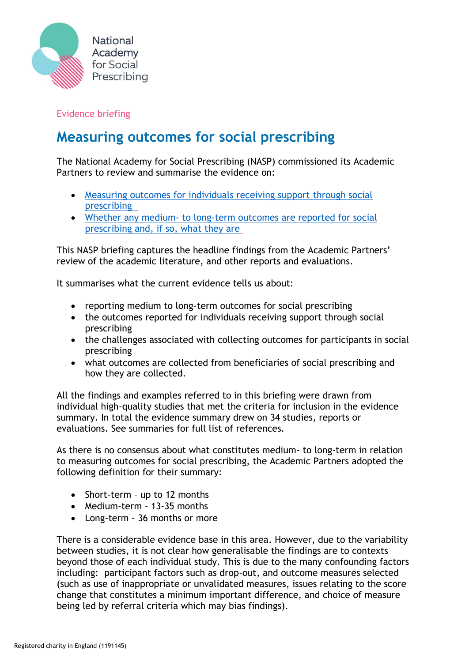

#### Evidence briefing

# **Measuring outcomes for social prescribing**

The National Academy for Social Prescribing (NASP) commissioned its Academic Partners to review and summarise the evidence on:

- [Measuring outcomes for individuals receiving support](https://socialprescribingacademy.org.uk/wp-content/uploads/2022/03/Evidence-summary-outcomes-of-social-prescribing-1.pdf) through social [prescribing](https://socialprescribingacademy.org.uk/wp-content/uploads/2022/03/Evidence-summary-outcomes-of-social-prescribing-1.pdf)
- Whether any medium- [to long-term outcomes are reported for social](https://socialprescribingacademy.org.uk/wp-content/uploads/2022/03/Evidence-summary-long-term-impact-of-social-prescribing.pdf)  [prescribing and, if so, what they are](https://socialprescribingacademy.org.uk/wp-content/uploads/2022/03/Evidence-summary-long-term-impact-of-social-prescribing.pdf)

This NASP briefing captures the headline findings from the Academic Partners' review of the academic literature, and other reports and evaluations.

It summarises what the current evidence tells us about:

- reporting medium to long-term outcomes for social prescribing
- the outcomes reported for individuals receiving support through social prescribing
- the challenges associated with collecting outcomes for participants in social prescribing
- what outcomes are collected from beneficiaries of social prescribing and how they are collected.

All the findings and examples referred to in this briefing were drawn from individual high-quality studies that met the criteria for inclusion in the evidence summary. In total the evidence summary drew on 34 studies, reports or evaluations. See summaries for full list of references.

As there is no consensus about what constitutes medium- to long-term in relation to measuring outcomes for social prescribing, the Academic Partners adopted the following definition for their summary:

- Short-term up to 12 months
- Medium-term 13-35 months
- Long-term 36 months or more

There is a considerable evidence base in this area. However, due to the variability between studies, it is not clear how generalisable the findings are to contexts beyond those of each individual study. This is due to the many confounding factors including: participant factors such as drop-out, and outcome measures selected (such as use of inappropriate or unvalidated measures, issues relating to the score change that constitutes a minimum important difference, and choice of measure being led by referral criteria which may bias findings).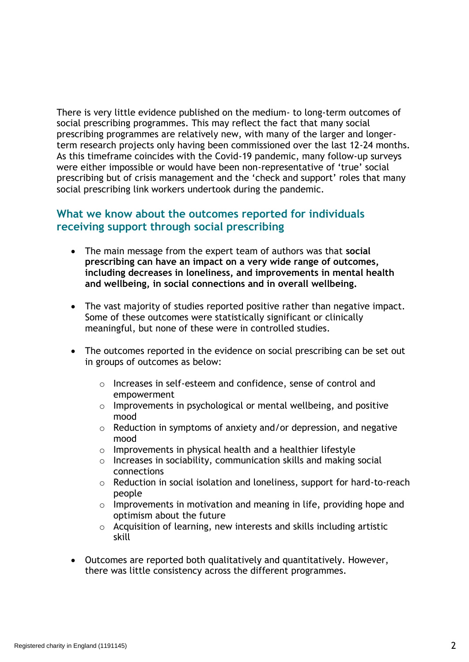There is very little evidence published on the medium- to long-term outcomes of social prescribing programmes. This may reflect the fact that many social prescribing programmes are relatively new, with many of the larger and longerterm research projects only having been commissioned over the last 12-24 months. As this timeframe coincides with the Covid-19 pandemic, many follow-up surveys were either impossible or would have been non-representative of 'true' social prescribing but of crisis management and the 'check and support' roles that many social prescribing link workers undertook during the pandemic.

# **What we know about the outcomes reported for individuals receiving support through social prescribing**

- The main message from the expert team of authors was that **social prescribing can have an impact on a very wide range of outcomes, including decreases in loneliness, and improvements in mental health and wellbeing, in social connections and in overall wellbeing.**
- The vast majority of studies reported positive rather than negative impact. Some of these outcomes were statistically significant or clinically meaningful, but none of these were in controlled studies.
- The outcomes reported in the evidence on social prescribing can be set out in groups of outcomes as below:
	- o Increases in self-esteem and confidence, sense of control and empowerment
	- o Improvements in psychological or mental wellbeing, and positive mood
	- o Reduction in symptoms of anxiety and/or depression, and negative mood
	- $\circ$  Improvements in physical health and a healthier lifestyle
	- o Increases in sociability, communication skills and making social connections
	- o Reduction in social isolation and loneliness, support for hard-to-reach people
	- o Improvements in motivation and meaning in life, providing hope and optimism about the future
	- o Acquisition of learning, new interests and skills including artistic skill
- Outcomes are reported both qualitatively and quantitatively. However, there was little consistency across the different programmes.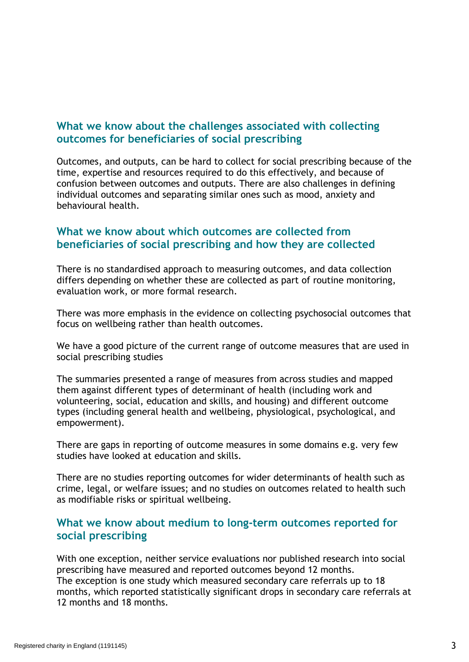## **What we know about the challenges associated with collecting outcomes for beneficiaries of social prescribing**

Outcomes, and outputs, can be hard to collect for social prescribing because of the time, expertise and resources required to do this effectively, and because of confusion between outcomes and outputs. There are also challenges in defining individual outcomes and separating similar ones such as mood, anxiety and behavioural health.

## **What we know about which outcomes are collected from beneficiaries of social prescribing and how they are collected**

There is no standardised approach to measuring outcomes, and data collection differs depending on whether these are collected as part of routine monitoring, evaluation work, or more formal research.

There was more emphasis in the evidence on collecting psychosocial outcomes that focus on wellbeing rather than health outcomes.

We have a good picture of the current range of outcome measures that are used in social prescribing studies

The summaries presented a range of measures from across studies and mapped them against different types of determinant of health (including work and volunteering, social, education and skills, and housing) and different outcome types (including general health and wellbeing, physiological, psychological, and empowerment).

There are gaps in reporting of outcome measures in some domains e.g. very few studies have looked at education and skills.

There are no studies reporting outcomes for wider determinants of health such as crime, legal, or welfare issues; and no studies on outcomes related to health such as modifiable risks or spiritual wellbeing.

#### **What we know about medium to long-term outcomes reported for social prescribing**

With one exception, neither service evaluations nor published research into social prescribing have measured and reported outcomes beyond 12 months. The exception is one study which measured secondary care referrals up to 18 months, which reported statistically significant drops in secondary care referrals at 12 months and 18 months.